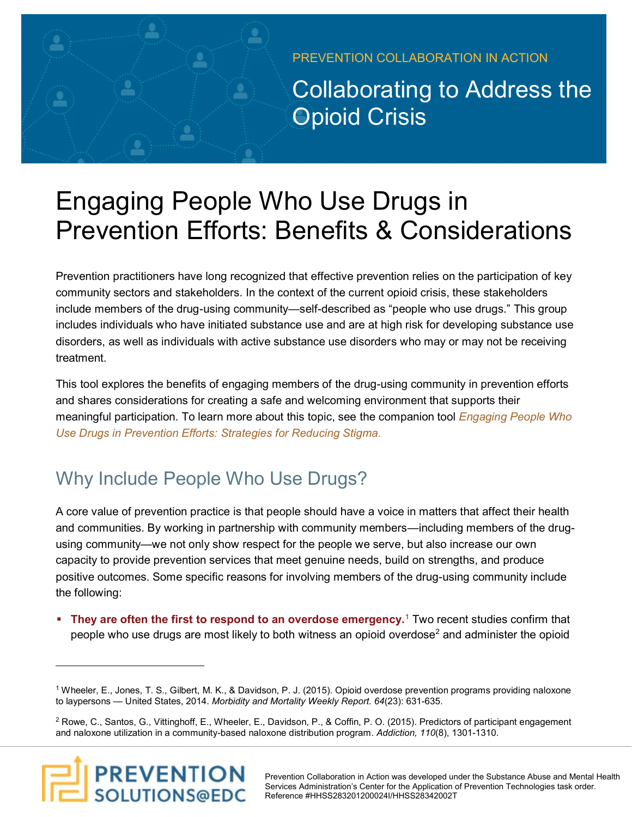PREVENTION COLLABORATION IN ACTION

Collaborating to Address the Opioid Crisis

# Engaging People Who Use Drugs in Prevention Efforts: Benefits & Considerations

Prevention practitioners have long recognized that effective prevention relies on the participation of key community sectors and stakeholders. In the context of the current opioid crisis, these stakeholders include members of the drug-using community—self-described as "people who use drugs." This group includes individuals who have initiated substance use and are at high risk for developing substance use disorders, as well as individuals with active substance use disorders who may or may not be receiving treatment.

This tool explores the benefits of engaging members of the drug-using community in prevention efforts and shares considerations for creating a safe and welcoming environment that supports their [meaningful participation. To learn more about this topic, see the companion tool](http://pscollaboration.edc.org/engaging-people-who-use-drugs-strategies-reducing-stigma) *Engaging People Who Use Drugs in Prevention Efforts: Strategies for Reducing Stigma.* 

## Why Include People Who Use Drugs?

A core value of prevention practice is that people should have a voice in matters that affect their health and communities. By working in partnership with community members—including members of the drugusing community—we not only show respect for the people we serve, but also increase our own capacity to provide prevention services that meet genuine needs, build on strengths, and produce positive outcomes. Some specific reasons for involving members of the drug-using community include the following:

**They are often the first to respond to an overdose emergency.<sup>1</sup> Two recent studies confirm that** people who use drugs are most likely to both witness an opioid overdose<sup>2</sup> and administer the opioid

 $^2$  Rowe, C., Santos, G., Vittinghoff, E., Wheeler, E., Davidson, P., & Coffin, P. O. (2015). Predictors of participant engagement and naloxone utilization in a community-based naloxone distribution program. *Addiction, 110*(8), 1301-1310.



Wheeler, E., Jones, T. S., Gilbert, M. K., & Davidson, P. J. (2015). Opioid overdose prevention programs providing naloxone 1 to laypersons — United States, 2014. *Morbidity and Mortality Weekly Report. 64*(23): 631-635.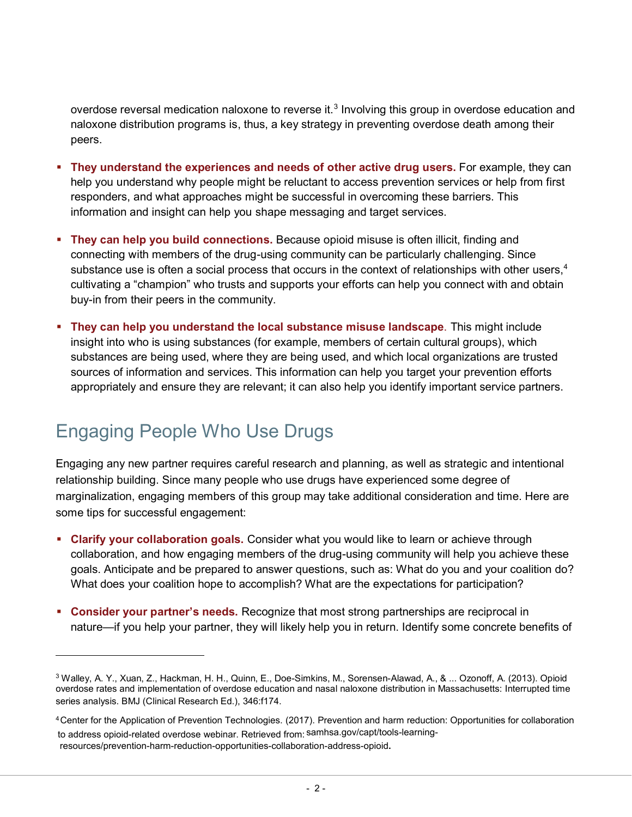overdose reversal medication naloxone to reverse it. $3$  Involving this group in overdose education and naloxone distribution programs is, thus, a key strategy in preventing overdose death among their peers.

- **They understand the experiences and needs of other active drug users.** For example, they can help you understand why people might be reluctant to access prevention services or help from first responders, and what approaches might be successful in overcoming these barriers. This information and insight can help you shape messaging and target services.
- **They can help you build connections.** Because opioid misuse is often illicit, finding and connecting with members of the drug-using community can be particularly challenging. Since substance use is often a social process that occurs in the context of relationships with other users. $4$ cultivating a "champion" who trusts and supports your efforts can help you connect with and obtain buy-in from their peers in the community.
- **They can help you understand the local substance misuse landscape**. This might include insight into who is using substances (for example, members of certain cultural groups), which substances are being used, where they are being used, and which local organizations are trusted sources of information and services. This information can help you target your prevention efforts appropriately and ensure they are relevant; it can also help you identify important service partners.

## Engaging People Who Use Drugs

Engaging any new partner requires careful research and planning, as well as strategic and intentional relationship building. Since many people who use drugs have experienced some degree of marginalization, engaging members of this group may take additional consideration and time. Here are some tips for successful engagement:

- **Example 2 Clarify your collaboration goals.** Consider what you would like to learn or achieve through collaboration, and how engaging members of the drug-using community will help you achieve these goals. Anticipate and be prepared to answer questions, such as: What do you and your coalition do? What does your coalition hope to accomplish? What are the expectations for participation?
- **Consider your partner's needs.** Recognize that most strong partnerships are reciprocal in nature—if you help your partner, they will likely help you in return. Identify some concrete benefits of

<sup>3</sup> Walley, A. Y., Xuan, Z., Hackman, H. H., Quinn, E., Doe-Simkins, M., Sorensen-Alawad, A., & ... Ozonoff, A. (2013). Opioid overdose rates and implementation of overdose education and nasal naloxone distribution in Massachusetts: Interrupted time series analysis. BMJ (Clinical Research Ed.), 346:f174.

to address opioid-related overdose webinar. Retrieved from: samhsa.gov/capt/tools-learning-<sup>4</sup>Center for the Application of Prevention Technologies. (2017). Prevention and harm reduction: Opportunities for collaboration resources/prevention-harm-reduction-opportunities-collaboration-address-opioid**.**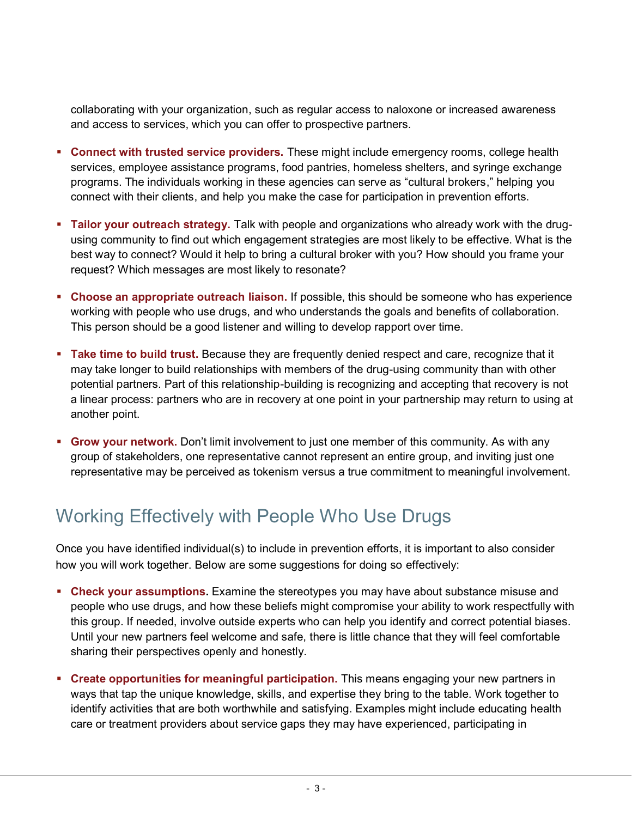collaborating with your organization, such as regular access to naloxone or increased awareness and access to services, which you can offer to prospective partners.

- **EX Connect with trusted service providers.** These might include emergency rooms, college health services, employee assistance programs, food pantries, homeless shelters, and syringe exchange programs. The individuals working in these agencies can serve as "cultural brokers," helping you connect with their clients, and help you make the case for participation in prevention efforts.
- **Tailor your outreach strategy.** Talk with people and organizations who already work with the drugusing community to find out which engagement strategies are most likely to be effective. What is the best way to connect? Would it help to bring a cultural broker with you? How should you frame your request? Which messages are most likely to resonate?
- **Choose an appropriate outreach liaison.** If possible, this should be someone who has experience working with people who use drugs, and who understands the goals and benefits of collaboration. This person should be a good listener and willing to develop rapport over time.
- **Example 1 Take time to build trust.** Because they are frequently denied respect and care, recognize that it may take longer to build relationships with members of the drug-using community than with other potential partners. Part of this relationship-building is recognizing and accepting that recovery is not a linear process: partners who are in recovery at one point in your partnership may return to using at another point.
- **Grow your network.** Don't limit involvement to just one member of this community. As with any group of stakeholders, one representative cannot represent an entire group, and inviting just one representative may be perceived as tokenism versus a true commitment to meaningful involvement.

#### Working Effectively with People Who Use Drugs

Once you have identified individual(s) to include in prevention efforts, it is important to also consider how you will work together. Below are some suggestions for doing so effectively:

- **EXECT 2.5 The Steps is sumptions.** Examine the stereotypes you may have about substance misuse and people who use drugs, and how these beliefs might compromise your ability to work respectfully with this group. If needed, involve outside experts who can help you identify and correct potential biases. Until your new partners feel welcome and safe, there is little chance that they will feel comfortable sharing their perspectives openly and honestly.
- **Create opportunities for meaningful participation.** This means engaging your new partners in ways that tap the unique knowledge, skills, and expertise they bring to the table. Work together to identify activities that are both worthwhile and satisfying. Examples might include educating health care or treatment providers about service gaps they may have experienced, participating in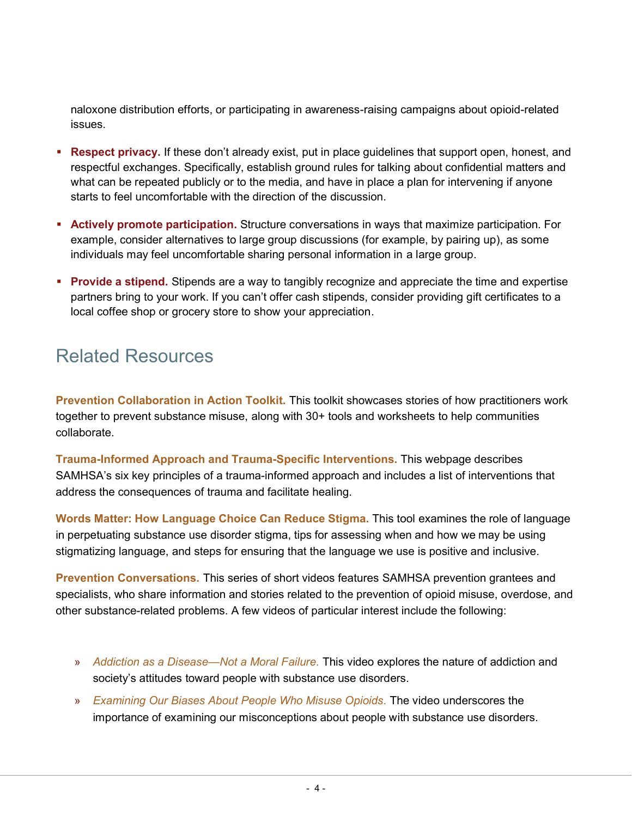naloxone distribution efforts, or participating in awareness-raising campaigns about opioid-related issues.

- **Respect privacy.** If these don't already exist, put in place guidelines that support open, honest, and respectful exchanges. Specifically, establish ground rules for talking about confidential matters and what can be repeated publicly or to the media, and have in place a plan for intervening if anyone starts to feel uncomfortable with the direction of the discussion.
- **EXECT Actively promote participation.** Structure conversations in ways that maximize participation. For example, consider alternatives to large group discussions (for example, by pairing up), as some individuals may feel uncomfortable sharing personal information in a large group.
- **Provide a stipend.** Stipends are a way to tangibly recognize and appreciate the time and expertise partners bring to your work. If you can't offer cash stipends, consider providing gift certificates to a local coffee shop or grocery store to show your appreciation.

#### Related Resources

**[Prevention Collaboration in Action Toolkit.](https://pscollaboration.edc.org/)** This toolkit showcases stories of how practitioners work together to prevent substance misuse, along with 30+ tools and worksheets to help communities collaborate.

**[Trauma-Informed Approach and Trauma-Specific Interventions.](https://www.samhsa.gov/nctic/trauma-interventions)** This webpage describes SAMHSA's six key principles of a trauma-informed approach and includes a list of interventions that address the consequences of trauma and facilitate healing.

**[Words Matter: How Language Choice Can Reduce Stigma.](https://preventionsolutions.edc.org/services/resources/words-matter-how-language-choice-can-reduce-stigma)** This tool examines the role of language in perpetuating substance use disorder stigma, tips for assessing when and how we may be using stigmatizing language, and steps for ensuring that the language we use is positive and inclusive.

**[Prevention Conversations.](https://www.youtube.com/playlist?list=PLBXgZMI_zqfSx1TQTzbWjoFqJitZ1CBgK)** This series of short videos features SAMHSA prevention grantees and specialists, who share information and stories related to the prevention of opioid misuse, overdose, and other substance-related problems. A few videos of particular interest include the following:

- » *[Addiction as a Disease—Not a Moral Failure.](https://youtu.be/kGwo-CMTcVs?list=PLBXgZMI_zqfSx1TQTzbWjoFqJitZ1CBgK)* This video explores the nature of addiction and society's attitudes toward people with substance use disorders.
- » *[Examining Our Biases About People Who Misuse Opioids.](https://youtu.be/4wc_esR_g5s?list=PLBXgZMI_zqfSx1TQTzbWjoFqJitZ1CBgK)* The video underscores the importance of examining our misconceptions about people with substance use disorders.